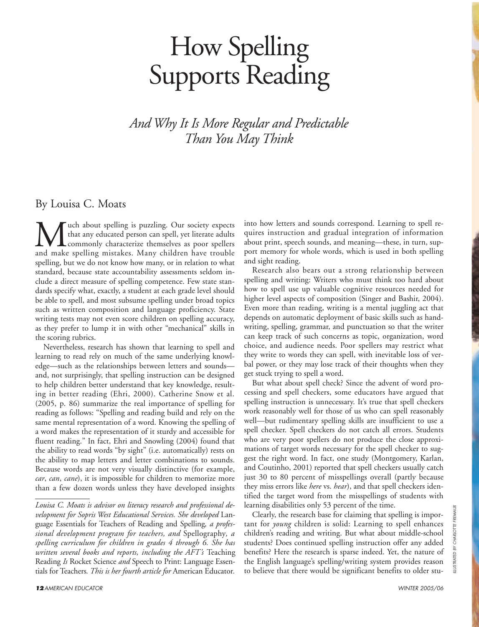# How Spelling Supports Reading

*And Why It Is More Regular and Predictable Than You May Think*

By Louisa C. Moats

**M** uch about spelling is puzzling. Our society expects<br>that any educated person can spell, yet literate adults<br>and make spelling mistakes. Many children have trouble that any educated person can spell, yet literate adults commonly characterize themselves as poor spellers and make spelling mistakes. Many children have trouble spelling, but we do not know how many, or in relation to what standard, because state accountability assessments seldom include a direct measure of spelling competence. Few state standards specify what, exactly, a student at each grade level should be able to spell, and most subsume spelling under broad topics such as written composition and language proficiency. State writing tests may not even score children on spelling accuracy, as they prefer to lump it in with other "mechanical" skills in the scoring rubrics.

Nevertheless, research has shown that learning to spell and learning to read rely on much of the same underlying knowledge—such as the relationships between letters and sounds and, not surprisingly, that spelling instruction can be designed to help children better understand that key knowledge, resulting in better reading (Ehri, 2000). Catherine Snow et al. (2005, p. 86) summarize the real importance of spelling for reading as follows: "Spelling and reading build and rely on the same mental representation of a word. Knowing the spelling of a word makes the representation of it sturdy and accessible for fluent reading." In fact, Ehri and Snowling (2004) found that the ability to read words "by sight" (i.e. automatically) rests on the ability to map letters and letter combinations to sounds. Because words are not very visually distinctive (for example, *car*, *can*, *cane*), it is impossible for children to memorize more than a few dozen words unless they have developed insights

into how letters and sounds correspond. Learning to spell requires instruction and gradual integration of information about print, speech sounds, and meaning—these, in turn, support memory for whole words, which is used in both spelling and sight reading.

Research also bears out a strong relationship between spelling and writing: Writers who must think too hard about how to spell use up valuable cognitive resources needed for higher level aspects of composition (Singer and Bashir, 2004). Even more than reading, writing is a mental juggling act that depends on automatic deployment of basic skills such as handwriting, spelling, grammar, and punctuation so that the writer can keep track of such concerns as topic, organization, word choice, and audience needs. Poor spellers may restrict what they write to words they can spell, with inevitable loss of verbal power, or they may lose track of their thoughts when they get stuck trying to spell a word.

But what about spell check? Since the advent of word processing and spell checkers, some educators have argued that spelling instruction is unnecessary. It's true that spell checkers work reasonably well for those of us who can spell reasonably well—but rudimentary spelling skills are insufficient to use a spell checker. Spell checkers do not catch all errors. Students who are very poor spellers do not produce the close approximations of target words necessary for the spell checker to suggest the right word. In fact, one study (Montgomery, Karlan, and Coutinho, 2001) reported that spell checkers usually catch just 30 to 80 percent of misspellings overall (partly because they miss errors like *here* vs. *hear*), and that spell checkers identified the target word from the misspellings of students with learning disabilities only 53 percent of the time.

Clearly, the research base for claiming that spelling is important for *young* children is solid: Learning to spell enhances children's reading and writing. But what about middle-school students? Does continued spelling instruction offer any added benefits? Here the research is sparse indeed. Yet, the nature of the English language's spelling/writing system provides reason to believe that there would be significant benefits to older stu-

*Louisa C. Moats is advisor on literacy research and professional development for Sopris West Educational Services. She developed* Language Essentials for Teachers of Reading and Spelling*, a professional development program for teachers, and* Spellography*, a spelling curriculum for children in grades 4 through 6. She has written several books and reports, including the AFT's* Teaching Reading *Is* Rocket Science *and* Speech to Print: Language Essen-Toutisa C. *Moats is aavisor on theracy research and projessional de*<br> *velopment for Sopris West Educational Services. She developed Lan*<br>
guage Essentials for Teachers of Reading and Spelling, a profes-<br>
sional developme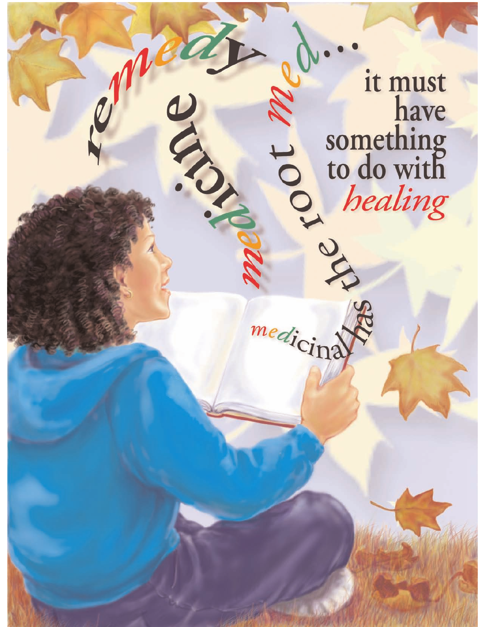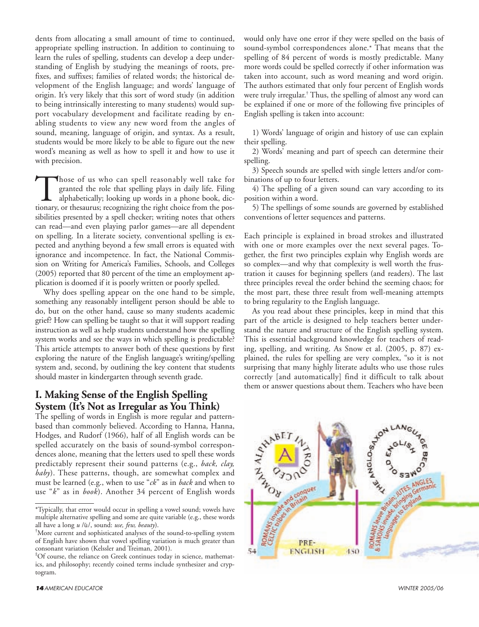dents from allocating a small amount of time to continued, appropriate spelling instruction. In addition to continuing to learn the rules of spelling, students can develop a deep understanding of English by studying the meanings of roots, prefixes, and suffixes; families of related words; the historical development of the English language; and words' language of origin. It's very likely that this sort of word study (in addition to being intrinsically interesting to many students) would support vocabulary development and facilitate reading by enabling students to view any new word from the angles of sound, meaning, language of origin, and syntax. As a result, students would be more likely to be able to figure out the new word's meaning as well as how to spell it and how to use it with precision.

Those of us who can spell reasonably well take for granted the role that spelling plays in daily life. Filing alphabetically; looking up words in a phone book, dictionary, or thesaurus; recognizing the right choice from th granted the role that spelling plays in daily life. Filing alphabetically; looking up words in a phone book, dictionary, or thesaurus; recognizing the right choice from the possibilities presented by a spell checker; writing notes that others can read—and even playing parlor games—are all dependent on spelling. In a literate society, conventional spelling is expected and anything beyond a few small errors is equated with ignorance and incompetence. In fact, the National Commission on Writing for America's Families, Schools, and Colleges (2005) reported that 80 percent of the time an employment application is doomed if it is poorly written or poorly spelled.

Why does spelling appear on the one hand to be simple, something any reasonably intelligent person should be able to do, but on the other hand, cause so many students academic grief? How can spelling be taught so that it will support reading instruction as well as help students understand how the spelling system works and see the ways in which spelling is predictable? This article attempts to answer both of these questions by first exploring the nature of the English language's writing/spelling system and, second, by outlining the key content that students should master in kindergarten through seventh grade.

## **I. Making Sense of the English Spelling System (It's Not as Irregular as You Think)**

The spelling of words in English is more regular and patternbased than commonly believed. According to Hanna, Hanna, Hodges, and Rudorf (1966), half of all English words can be spelled accurately on the basis of sound-symbol correspondences alone, meaning that the letters used to spell these words predictably represent their sound patterns (e.g., *back, clay, baby*). These patterns, though, are somewhat complex and must be learned (e.g., when to use "*ck*" as in *back* and when to use "*k*" as in *book*). Another 34 percent of English words

would only have one error if they were spelled on the basis of sound-symbol correspondences alone.\* That means that the spelling of 84 percent of words is mostly predictable. Many more words could be spelled correctly if other information was taken into account, such as word meaning and word origin. The authors estimated that only four percent of English words were truly irregular.† Thus, the spelling of almost any word can be explained if one or more of the following five principles of English spelling is taken into account:

1) Words' language of origin and history of use can explain their spelling.

2) Words' meaning and part of speech can determine their spelling.

3) Speech sounds are spelled with single letters and/or combinations of up to four letters.

4) The spelling of a given sound can vary according to its position within a word.

5) The spellings of some sounds are governed by established conventions of letter sequences and patterns.

Each principle is explained in broad strokes and illustrated with one or more examples over the next several pages. Together, the first two principles explain why English words are so complex—and why that complexity is well worth the frustration it causes for beginning spellers (and readers). The last three principles reveal the order behind the seeming chaos; for the most part, these three result from well-meaning attempts to bring regularity to the English language.

As you read about these principles, keep in mind that this part of the article is designed to help teachers better understand the nature and structure of the English spelling system. This is essential background knowledge for teachers of reading, spelling, and writing. As Snow et al. (2005, p. 87) explained, the rules for spelling are very complex, "so it is not surprising that many highly literate adults who use those rules correctly [and automatically] find it difficult to talk about them or answer questions about them. Teachers who have been



<sup>\*</sup>Typically, that error would occur in spelling a vowel sound; vowels have multiple alternative spelling and some are quite variable (e.g., these words all have a long u /ū/, sound: use, few, beauty).

<sup>†</sup> More current and sophisticated analyses of the sound-to-spelling system of English have shown that vowel spelling variation is much greater than consonant variation (Kelssler and Treiman, 2001).

<sup>‡</sup> Of course, the reliance on Greek continues today in science, mathematics, and philosophy; recently coined terms include synthesizer and cryptogram.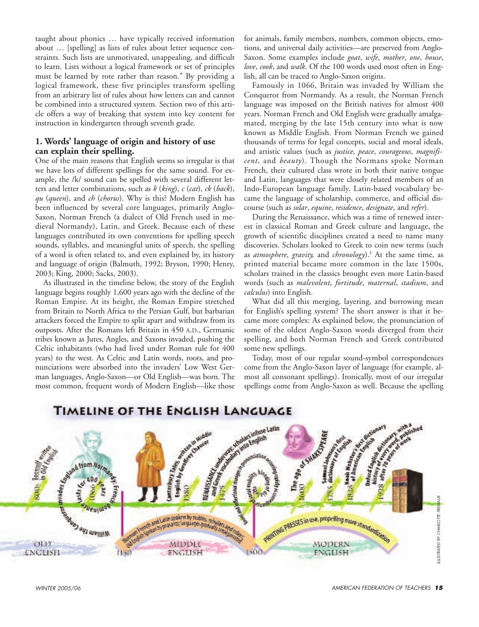taught about phonics … have typically received information about … [spelling] as lists of rules about letter sequence constraints. Such lists are unmotivated, unappealing, and difficult to learn. Lists without a logical framework or set of principles must be learned by rote rather than reason." By providing a logical framework, these five principles transform spelling from an arbitrary list of rules about how letters can and cannot be combined into a structured system. Section two of this article offers a way of breaking that system into key content for instruction in kindergarten through seventh grade.

#### **1. Words' language of origin and history of use can explain their spelling.**

One of the main reasons that English seems so irregular is that we have lots of different spellings for the same sound. For example, the /k/ sound can be spelled with several different letters and letter combinations, such as *k* (*king*), *c* (*cat*), *ck* (*back*), *qu* (*queen*), and *ch* (*chorus*). Why is this? Modern English has been influenced by several core languages, primarily Anglo-Saxon, Norman French (a dialect of Old French used in medieval Normandy), Latin, and Greek. Because each of these languages contributed its own conventions for spelling speech sounds, syllables, and meaningful units of speech, the spelling of a word is often related to, and even explained by, its history and language of origin (Balmuth, 1992; Bryson, 1990; Henry, 2003; King, 2000; Sacks, 2003).

As illustrated in the timeline below, the story of the English language begins roughly 1,600 years ago with the decline of the Roman Empire. At its height, the Roman Empire stretched from Britain to North Africa to the Persian Gulf, but barbarian attackers forced the Empire to split apart and withdraw from its outposts. After the Romans left Britain in 450 A.D., Germanic tribes known as Jutes, Angles, and Saxons invaded, pushing the Celtic inhabitants (who had lived under Roman rule for 400 years) to the west. As Celtic and Latin words, roots, and pronunciations were absorbed into the invaders' Low West German languages, Anglo-Saxon—or Old English—was born. The most common, frequent words of Modern English—like those

for animals, family members, numbers, common objects, emotions, and universal daily activities—are preserved from Anglo-Saxon. Some examples include *goat*, *wife*, *mother*, *one*, *house*, *love*, *cook*, and *walk*. Of the 100 words used most often in English, all can be traced to Anglo-Saxon origins.

Famously in 1066, Britain was invaded by William the Conqueror from Normandy. As a result, the Norman French language was imposed on the British natives for almost 400 years. Norman French and Old English were gradually amalgamated, merging by the late 15th century into what is now known as Middle English. From Norman French we gained thousands of terms for legal concepts, social and moral ideals, and artistic values (such as *justice*, *peace*, *courageous*, *magnificent*, and *beauty*). Though the Normans spoke Norman French, their cultured class wrote in both their native tongue and Latin, languages that were closely related members of an Indo-European language family. Latin-based vocabulary became the language of scholarship, commerce, and official discourse (such as *solar*, *equine*, *residence*, *designate*, and *refer*).

During the Renaissance, which was a time of renewed interest in classical Roman and Greek culture and language, the growth of scientific disciplines created a need to name many discoveries. Scholars looked to Greek to coin new terms (such as *atmosphere, gravity,* and *chronology*).‡ At the same time, as printed material became more common in the late 1500s, scholars trained in the classics brought even more Latin-based words (such as *malevolent*, *fortitude*, *maternal*, *stadium*, and *calculus*) into English.

What did all this merging, layering, and borrowing mean for English's spelling system? The short answer is that it became more complex: As explained below, the pronunciation of some of the oldest Anglo-Saxon words diverged from their spelling, and both Norman French and Greek contributed some new spellings.

Today, most of our regular sound-symbol correspondences come from the Anglo-Saxon layer of language (for example, almost all consonant spellings). Ironically, most of our irregular spellings come from Anglo-Saxon as well. Because the spelling



# TIMELINE OF THE ENGLISH LANGUAGE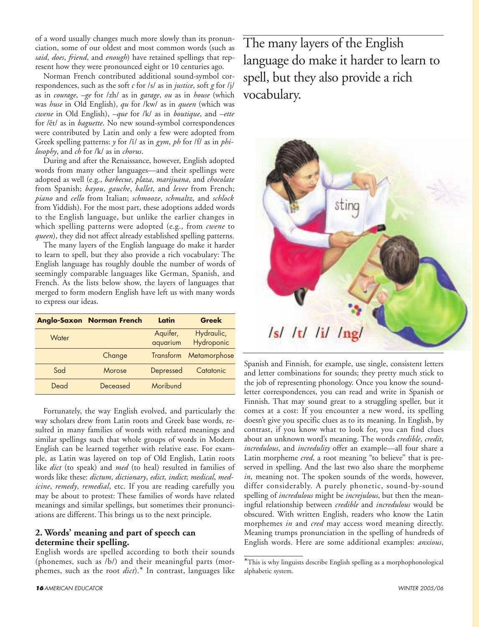of a word usually changes much more slowly than its pronunciation, some of our oldest and most common words (such as *said*, *does*, *friend*, and *enough*) have retained spellings that represent how they were pronounced eight or 10 centuries ago.

Norman French contributed additional sound-symbol correspondences, such as the soft *c* for /s/ as in *justice*, soft *g* for /j/ as in *courage*, *–ge* for /zh/ as in *garage*, *ou* as in *house* (which was *huse* in Old English), *qu* for /kw/ as in *queen* (which was *cwene* in Old English), *–que* for /k/ as in *boutique*, and *–ette* for /ĕt/ as in *baguette*. No new sound-symbol correspondences were contributed by Latin and only a few were adopted from Greek spelling patterns: *y* for /ĭ/ as in *gym*, *ph* for /f/ as in *philosophy*, and *ch* for /k/ as in *chorus*.

During and after the Renaissance, however, English adopted words from many other languages—and their spellings were adopted as well (e.g., *barbecue*, *plaza*, *marijuana*, and *chocolate* from Spanish; *bayou*, *gauche*, *ballet*, and *levee* from French; *piano* and *cello* from Italian; *schmooze*, *schmaltz*, and *schlock* from Yiddish). For the most part, these adoptions added words to the English language, but unlike the earlier changes in which spelling patterns were adopted (e.g., from *cwene* to *queen*), they did not affect already established spelling patterns.

The many layers of the English language do make it harder to learn to spell, but they also provide a rich vocabulary: The English language has roughly double the number of words of seemingly comparable languages like German, Spanish, and French. As the lists below show, the layers of languages that merged to form modern English have left us with many words to express our ideas.

|       | <b>Anglo-Saxon Norman French</b> | Latin     | Greek        |
|-------|----------------------------------|-----------|--------------|
| Water |                                  | Aquifer,  | Hydraulic,   |
|       |                                  | aquarium  | Hydroponic   |
|       | Change                           | Transform | Metamorphose |
| Sad   | Morose                           | Depressed | Catatonic    |
| Dead  | Deceased                         | Moribund  |              |

Fortunately, the way English evolved, and particularly the way scholars drew from Latin roots and Greek base words, resulted in many families of words with related meanings and similar spellings such that whole groups of words in Modern English can be learned together with relative ease. For example, as Latin was layered on top of Old English, Latin roots like *dict* (to speak) and *med* (to heal) resulted in families of words like these: *dictum*, *dictionary*, *edict, indict*; *medical*, *medicine*, *remedy*, *remedial*, etc. If you are reading carefully you may be about to protest: These families of words have related meanings and similar spellings, but sometimes their pronunciations are different. This brings us to the next principle.

#### **2. Words' meaning and part of speech can determine their spelling.**

English words are spelled according to both their sounds (phonemes, such as /b/) and their meaningful parts (morphemes, such as the root *dict*).\* In contrast, languages like

The many layers of the English language do make it harder to learn to spell, but they also provide a rich vocabulary.



Spanish and Finnish, for example, use single, consistent letters and letter combinations for sounds; they pretty much stick to the job of representing phonology. Once you know the soundletter correspondences, you can read and write in Spanish or Finnish. That may sound great to a struggling speller, but it comes at a cost: If you encounter a new word, its spelling doesn't give you specific clues as to its meaning. In English, by contrast, if you know what to look for, you can find clues about an unknown word's meaning. The words *credible*, *credit*, *incredulous*, and *incredulity* offer an example—all four share a Latin morpheme *cred*, a root meaning "to believe" that is preserved in spelling. And the last two also share the morpheme *in*, meaning not. The spoken sounds of the words, however, differ considerably. A purely phonetic, sound-by-sound spelling of *incredulous* might be *increjulous*, but then the meaningful relationship between *credible* and *incredulous* would be obscured. With written English, readers who know the Latin morphemes *in* and *cred* may access word meaning directly. Meaning trumps pronunciation in the spelling of hundreds of English words. Here are some additional examples: *anxious*,

<sup>\*</sup>This is why linguists describe English spelling as a morphophonological alphabetic system.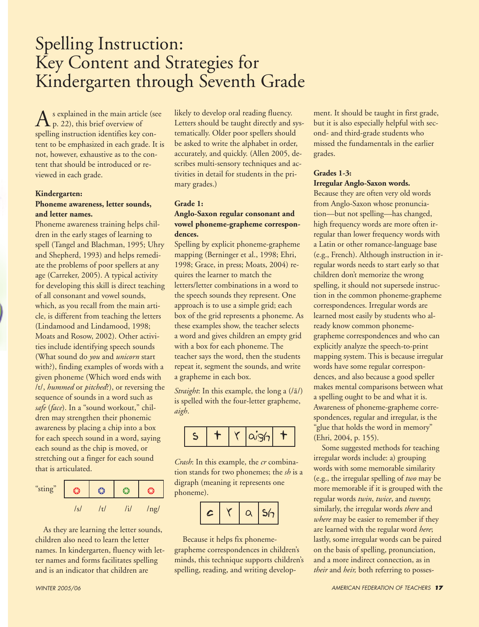# Spelling Instruction: Key Content and Strategies for Kindergarten through Seventh Grade

 $A_{\rm p.~22}^{\rm s}$  explained in the main article (see<br> $\rm p.~22$ ), this brief overview of spelling instruction identifies key content to be emphasized in each grade. It is not, however, exhaustive as to the content that should be introduced or reviewed in each grade.

#### **Kindergarten:**

#### **Phoneme awareness, letter sounds, and letter names.**

Phoneme awareness training helps children in the early stages of learning to spell (Tangel and Blachman, 1995; Uhry and Shepherd, 1993) and helps remediate the problems of poor spellers at any age (Carreker, 2005). A typical activity for developing this skill is direct teaching of all consonant and vowel sounds, which, as you recall from the main article, is different from teaching the letters (Lindamood and Lindamood, 1998; Moats and Rosow, 2002). Other activities include identifying speech sounds (What sound do *you* and *unicorn* start with?), finding examples of words with a given phoneme (Which word ends with /t/, *hummed* or *pitched*?), or reversing the sequence of sounds in a word such as *safe* (*face*). In a "sound workout," children may strengthen their phonemic awareness by placing a chip into a box for each speech sound in a word, saying each sound as the chip is moved, or stretching out a finger for each sound that is articulated.

| "sting" |        | ್ರಾ |     |  |
|---------|--------|-----|-----|--|
|         | $\sim$ | ÷.  | ng/ |  |

As they are learning the letter sounds, children also need to learn the letter names. In kindergarten, fluency with letter names and forms facilitates spelling and is an indicator that children are

likely to develop oral reading fluency. Letters should be taught directly and systematically. Older poor spellers should be asked to write the alphabet in order, accurately, and quickly. (Allen 2005, describes multi-sensory techniques and activities in detail for students in the primary grades.)

#### **Grade 1:**

#### **Anglo-Saxon regular consonant and vowel phoneme-grapheme correspondences.**

Spelling by explicit phoneme-grapheme mapping (Berninger et al., 1998; Ehri, 1998; Grace, in press; Moats, 2004) requires the learner to match the letters/letter combinations in a word to the speech sounds they represent. One approach is to use a simple grid; each box of the grid represents a phoneme. As these examples show, the teacher selects a word and gives children an empty grid with a box for each phoneme. The teacher says the word, then the students repeat it, segment the sounds, and write a grapheme in each box.

*Straight*: In this example, the long a (/ $\bar{a}$ /) is spelled with the four-letter grapheme, *aigh*.



*Crash*: In this example, the *cr* combination stands for two phonemes; the *sh* is a digraph (meaning it represents one phoneme).

|--|

Because it helps fix phonemegrapheme correspondences in children's minds, this technique supports children's spelling, reading, and writing develop-

ment. It should be taught in first grade, but it is also especially helpful with second- and third-grade students who missed the fundamentals in the earlier grades.

#### **Grades 1-3:**

#### **Irregular Anglo-Saxon words.**

Because they are often very old words from Anglo-Saxon whose pronunciation—but not spelling—has changed, high frequency words are more often irregular than lower frequency words with a Latin or other romance-language base (e.g., French). Although instruction in irregular words needs to start early so that children don't memorize the wrong spelling, it should not supersede instruction in the common phoneme-grapheme correspondences. Irregular words are learned most easily by students who already know common phonemegrapheme correspondences and who can explicitly analyze the speech-to-print mapping system. This is because irregular words have some regular correspondences, and also because a good speller makes mental comparisons between what a spelling ought to be and what it is. Awareness of phoneme-grapheme correspondences, regular and irregular, is the "glue that holds the word in memory" (Ehri, 2004, p. 155).

Some suggested methods for teaching irregular words include: a) grouping words with some memorable similarity (e.g., the irregular spelling of *two* may be more memorable if it is grouped with the regular words *twin*, *twice*, and *twenty*; similarly, the irregular words *there* and *where* may be easier to remember if they are learned with the regular word *here*; lastly, some irregular words can be paired on the basis of spelling, pronunciation, and a more indirect connection, as in *their* and *heir,* both referring to posses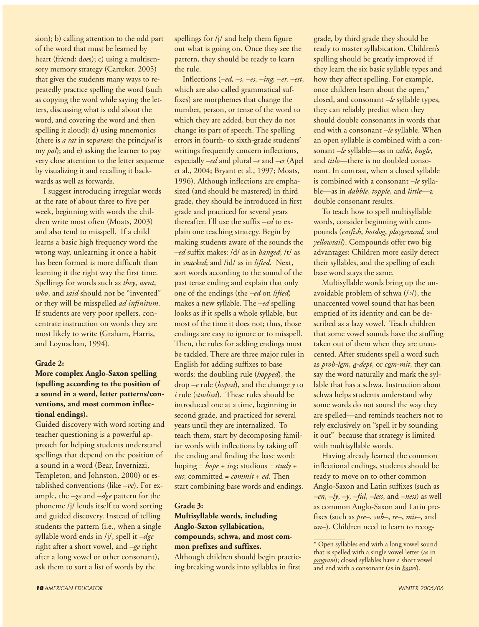sion); b) calling attention to the odd part of the word that must be learned by heart (fr*i*end; d*oe*s); c) using a multisensory memory strategy (Carreker, 2005) that gives the students many ways to repeatedly practice spelling the word (such as copying the word while saying the letters, discussing what is odd about the word, and covering the word and then spelling it aloud); d) using mnemonics (there is *a rat* in sep*arat*e; the princi*pal* is my *pal*); and e) asking the learner to pay very close attention to the letter sequence by visualizing it and recalling it backwards as well as forwards.

I suggest introducing irregular words at the rate of about three to five per week, beginning with words the children write most often (Moats, 2003) and also tend to misspell. If a child learns a basic high frequency word the wrong way, unlearning it once a habit has been formed is more difficult than learning it the right way the first time. Spellings for words such as *they*, *went*, *who*, and *said* should not be "invented" or they will be misspelled *ad infinitum*. If students are very poor spellers, concentrate instruction on words they are most likely to write (Graham, Harris, and Loynachan, 1994).

#### **Grade 2:**

#### **More complex Anglo-Saxon spelling (spelling according to the position of a sound in a word, letter patterns/conventions, and most common inflectional endings).**

Guided discovery with word sorting and teacher questioning is a powerful approach for helping students understand spellings that depend on the position of a sound in a word (Bear, Invernizzi, Templeton, and Johnston, 2000) or established conventions (like *–ve*). For example, the *–ge* and *–dge* pattern for the phoneme /j/ lends itself to word sorting and guided discovery. Instead of telling students the pattern (i.e., when a single syllable word ends in /j/, spell it *–dge* right after a short vowel, and *–ge* right after a long vowel or other consonant), ask them to sort a list of words by the

spellings for /j/ and help them figure out what is going on. Once they see the pattern, they should be ready to learn the rule.

Inflections (*–ed, –s, –es, –ing, –er, –est*, which are also called grammatical suffixes) are morphemes that change the number, person, or tense of the word to which they are added, but they do not change its part of speech. The spelling errors in fourth- to sixth-grade students' writings frequently concern inflections, especially *–ed* and plural *–s* and *–es* (Apel et al., 2004; Bryant et al., 1997; Moats, 1996). Although inflections are emphasized (and should be mastered) in third grade, they should be introduced in first grade and practiced for several years thereafter. I'll use the suffix *–ed* to explain one teaching strategy. Begin by making students aware of the sounds the *–ed* suffix makes: /d/ as in *banged*; /t/ as in *snacked*; and /id/ as in *lifted*. Next, sort words according to the sound of the past tense ending and explain that only one of the endings (the *–ed* on *lifted*) makes a new syllable. The *–ed* spelling looks as if it spells a whole syllable, but most of the time it does not; thus, those endings are easy to ignore or to misspell. Then, the rules for adding endings must be tackled. There are three major rules in English for adding suffixes to base words: the doubling rule (*hopped*), the drop *–e* rule (*hoped*), and the change *y* to *i* rule (*studied*). These rules should be introduced one at a time, beginning in second grade, and practiced for several years until they are internalized. To teach them, start by decomposing familiar words with inflections by taking off the ending and finding the base word: hoping = *hope* + *ing*; studious = *study* + *ous*; committed = *commit* + *ed.* Then start combining base words and endings.

#### **Grade 3:**

#### **Multisyllable words, including Anglo-Saxon syllabication, compounds, schwa, and most common prefixes and suffixes.**

Although children should begin practicing breaking words into syllables in first

grade, by third grade they should be ready to master syllabication. Children's spelling should be greatly improved if they learn the six basic syllable types and how they affect spelling. For example, once children learn about the open,\* closed, and consonant *–le* syllable types, they can reliably predict when they should double consonants in words that end with a consonant *–le* syllable. When an open syllable is combined with a consonant *–le* syllable—as in *cable*, *bugle*, and *title*—there is no doubled consonant. In contrast, when a closed syllable is combined with a consonant *–le* syllable—as in *dabble*, *topple*, and *little*—a double consonant results.

To teach how to spell multisyllable words, consider beginning with compounds (*catfish*, *hotdog*, *playground*, and *yellowtail*). Compounds offer two big advantages: Children more easily detect their syllables, and the spelling of each base word stays the same.

Multisyllable words bring up the unavoidable problem of schwa (/ə/), the unaccented vowel sound that has been emptied of its identity and can be described as a lazy vowel. Teach children that some vowel sounds have the stuffing taken out of them when they are unaccented. After students spell a word such as *prob-lem*, *a-dept*, or *com-mit*, they can say the word naturally and mark the syllable that has a schwa. Instruction about schwa helps students understand why some words do not sound the way they are spelled—and reminds teachers not to rely exclusively on "spell it by sounding it out" because that strategy is limited with multisyllable words.

Having already learned the common inflectional endings, students should be ready to move on to other common Anglo-Saxon and Latin suffixes (such as *–en*, *–ly*, *–y*, *–ful*, *–less*, and *–ness*) as well as common Anglo-Saxon and Latin prefixes (such as *pre–*, *sub–*, *re–*, *mis–*, and *un–*). Children need to learn to recog-

<sup>\*</sup> Open syllables end with a long vowel sound that is spelled with a single vowel letter (as in *program*); closed syllables have a short vowel and end with a consonant (as in *hostel*).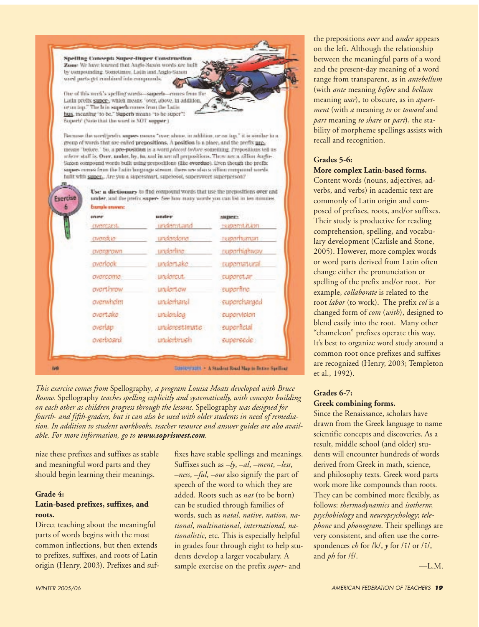Spelling Concept: Super-Duper Construction Zone We have learned that Anglo-Saxon words are built by compounding. Sometimes, Latin and Angle-Saxon word parts and minimid into emagements.

One of this week's spelling words-superla-enture from the Latin prefix super-, which means "over, above, in addition, or on top." The brin superhammes from the Latin bus, meaning 'to be," Superb nieans "to be super"! Superb' (Note that the word is NOT supper ).

Because the word/prefix super- means "nee; above, in addition, or on lop," it is similar in a group of words that are enfed prepositions. A position is a pinec, and the prefix premeans "before." So, a pre-position is a word ployed before something. Prepositions tell us referre staff is. Over, under, by, ba, and in arc all prepositions. There are a sillion Augus-Suban compound words built using prepositions (like overdue). Even though the prefix super- comes from the lotin borgange stream, there are also a zillion compound words. fullt with super-. Are you a supersmart, supercool, supersweet superperson?

> Use a dietionary to find compound words that use the prepositions over and under, and the prefix super- See how many words you can list in ten minutes.

| CIVERAPOWIT<br>overlook<br>avercame.<br>overthrow | underdone.<br>underline.<br>undertake<br>underent.<br>undertow | rapportunuar<br>raportivatiway<br><b>таропытали</b><br>superstar<br>superfine |
|---------------------------------------------------|----------------------------------------------------------------|-------------------------------------------------------------------------------|
| overwhelm                                         | underhand                                                      | supercharged                                                                  |
| overtake                                          | underdog                                                       | supervision                                                                   |
| overlap:                                          | underestimate                                                  | superficial                                                                   |
| overboard                                         | underbrush                                                     | supersede                                                                     |

*This exercise comes from* Spellography*, a program Louisa Moats developed with Bruce Rosow.* Spellography *teaches spelling explicitly and systematically, with concepts building on each other as children progress through the lessons.* Spellography *was designed for fourth- and fifth-graders, but it can also be used with older students in need of remediation. In addition to student workbooks, teacher resource and answer guides are also available. For more information, go to www.sopriswest.com.*

nize these prefixes and suffixes as stable and meaningful word parts and they should begin learning their meanings.

Exercise

#### **Grade 4: Latin-based prefixes, suffixes, and roots.**

Direct teaching about the meaningful parts of words begins with the most common inflections, but then extends to prefixes, suffixes, and roots of Latin origin (Henry, 2003). Prefixes and suffixes have stable spellings and meanings. Suffixes such as *–ly*, *–al*, *–ment*, *–less*, *–ness*, *–ful*, *–ous* also signify the part of speech of the word to which they are added. Roots such as *nat* (to be born) can be studied through families of words, such as *natal, native*, *nation*, *national*, *multinational*, *international*, *nationalistic*, etc. This is especially helpful in grades four through eight to help students develop a larger vocabulary. A sample exercise on the prefix *super-* and

the prepositions *over* and *under* appears on the left**.** Although the relationship between the meaningful parts of a word and the present-day meaning of a word range from transparent, as in *antebellum* (with *ante* meaning *before* and *bellum* meaning *war*), to obscure, as in *apartment* (with *a* meaning *to* or *toward* and *part* meaning *to share* or *part*), the stability of morpheme spellings assists with recall and recognition.

#### **Grades 5-6: More complex Latin-based forms.**

Content words (nouns, adjectives, adverbs, and verbs) in academic text are commonly of Latin origin and composed of prefixes, roots, and/or suffixes. Their study is productive for reading comprehension, spelling, and vocabulary development (Carlisle and Stone, 2005). However, more complex words or word parts derived from Latin often change either the pronunciation or spelling of the prefix and/or root. For example, *collaborate* is related to the root *labor* (to work). The prefix *col* is a changed form of *com* (*with*), designed to blend easily into the root. Many other "chameleon" prefixes operate this way. It's best to organize word study around a common root once prefixes and suffixes are recognized (Henry, 2003; Templeton et al., 1992).

#### **Grades 6-7: Greek combining forms.**

Since the Renaissance, scholars have drawn from the Greek language to name scientific concepts and discoveries. As a result, middle school (and older) students will encounter hundreds of words derived from Greek in math, science, and philosophy texts. Greek word parts work more like compounds than roots. They can be combined more flexibly, as follows: *thermodynamics* and *isotherm*; *psychobiology* and *neuropsychology*; *telephone* and *phonogram*. Their spellings are very consistent, and often use the correspondences *ch* for /k/, *y* for /ĭ/ or /ī/, and *ph* for /f/.

—L.M.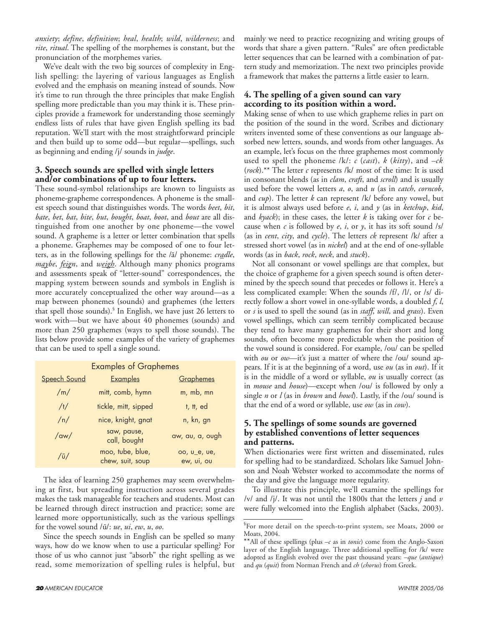*anxiety*; *define*, *definition*; *heal*, *health*; *wild*, *wilderness*; and *rite*, *ritual*. The spelling of the morphemes is constant, but the pronunciation of the morphemes varies.

We've dealt with the two big sources of complexity in English spelling: the layering of various languages as English evolved and the emphasis on meaning instead of sounds. Now it's time to run through the three principles that make English spelling more predictable than you may think it is. These principles provide a framework for understanding those seemingly endless lists of rules that have given English spelling its bad reputation. We'll start with the most straightforward principle and then build up to some odd—but regular—spellings, such as beginning and ending /j/ sounds in *judge*.

#### **3. Speech sounds are spelled with single letters and/or combinations of up to four letters.**

These sound-symbol relationships are known to linguists as phoneme-grapheme correspondences. A phoneme is the smallest speech sound that distinguishes words. The words *beet*, *bit*, *bate*, *bet*, *bat*, *bite*, *but*, *bought*, *boat*, *boot*, and *bout* are all distinguished from one another by one phoneme—the vowel sound. A grapheme is a letter or letter combination that spells a phoneme. Graphemes may be composed of one to four letters, as in the following spellings for the /ā/ phoneme: *cradle*, *maybe*, *feign*, and *weigh*. Although many phonics programs and assessments speak of "letter-sound" correspondences, the mapping system between sounds and symbols in English is more accurately conceptualized the other way around—as a map between phonemes (sounds) and graphemes (the letters that spell those sounds).§ In English, we have just 26 letters to work with—but we have about 40 phonemes (sounds) and more than 250 graphemes (ways to spell those sounds). The lists below provide some examples of the variety of graphemes that can be used to spell a single sound.

| <b>Examples of Graphemes</b> |                                      |                            |  |
|------------------------------|--------------------------------------|----------------------------|--|
| Speech Sound                 | <b>Examples</b>                      | Graphemes                  |  |
| /m/                          | mitt, comb, hymn                     | m, mb, mn                  |  |
| /t/                          | tickle, mitt, sipped                 | t, tt, ed                  |  |
| /n/                          | nice, knight, gnat                   | n, kn, gn                  |  |
| $\frac{1}{\alpha}$           | saw, pause,<br>call, bought          | aw, au, a, ough            |  |
| $/\bar{u}/$                  | moo, tube, blue,<br>chew, suit, soup | oo, u_e, ue,<br>ew, ui, ou |  |

The idea of learning 250 graphemes may seem overwhelming at first, but spreading instruction across several grades makes the task manageable for teachers and students. Most can be learned through direct instruction and practice; some are learned more opportunistically, such as the various spellings for the vowel sound /ū/: *ue*, *ui*, *ew*, *u*, *oo*.

Since the speech sounds in English can be spelled so many ways, how do we know when to use a particular spelling? For those of us who cannot just "absorb" the right spelling as we read, some memorization of spelling rules is helpful, but

mainly we need to practice recognizing and writing groups of words that share a given pattern. "Rules" are often predictable letter sequences that can be learned with a combination of pattern study and memorization. The next two principles provide a framework that makes the patterns a little easier to learn.

#### **4. The spelling of a given sound can vary according to its position within a word.**

Making sense of when to use which grapheme relies in part on the position of the sound in the word. Scribes and dictionary writers invented some of these conventions as our language absorbed new letters, sounds, and words from other languages. As an example, let's focus on the three graphemes most commonly used to spell the phoneme /k/: *c* (*cast*), *k* (*kitty*), and *–ck* (*rock*).\*\* The letter *c* represents /k/ most of the time: It is used in consonant blends (as in *clam*, *craft*, and *scroll*) and is usually used before the vowel letters *a*, *o*, and *u* (as in *catch*, *corncob*, and *cup*). The letter *k* can represent /k/ before any vowel, but it is almost always used before *e*, *i*, and *y* (as in *ketchup*, *kid*, and *kyack*); in these cases, the letter *k* is taking over for *c* because when *c* is followed by *e*, *i*, or *y*, it has its soft sound /s/ (as in *cent*, *city*, and *cycle*). The letters *ck* represent /k/ after a stressed short vowel (as in *nickel*) and at the end of one-syllable words (as in *back*, *rock*, *neck*, and *stuck*).

Not all consonant or vowel spellings are that complex, but the choice of grapheme for a given speech sound is often determined by the speech sound that precedes or follows it. Here's a less complicated example: When the sounds /f/, /l/, or /s/ directly follow a short vowel in one-syllable words, a doubled *f*, *l*, or *s* is used to spell the sound (as in *staff*, *will*, and *grass*). Even vowel spellings, which can seem terribly complicated because they tend to have many graphemes for their short and long sounds, often become more predictable when the position of the vowel sound is considered. For example, /ou/ can be spelled with *ou* or *ow*—it's just a matter of where the /ou/ sound appears. If it is at the beginning of a word, use *ou* (as in *out*). If it is in the middle of a word or syllable, *ou* is usually correct (as in *mouse* and *house*)—except when /ou/ is followed by only a single *n* or *l* (as in *brown* and *howl*). Lastly, if the /ou/ sound is that the end of a word or syllable, use *ow* (as in *cow*).

#### **5. The spellings of some sounds are governed by established conventions of letter sequences and patterns.**

When dictionaries were first written and disseminated, rules for spelling had to be standardized. Scholars like Samuel Johnson and Noah Webster worked to accommodate the norms of the day and give the language more regularity.

To illustrate this principle, we'll examine the spellings for /v/ and /j/. It was not until the 1800s that the letters *j* and *v* were fully welcomed into the English alphabet (Sacks, 2003).

<sup>§</sup> For more detail on the speech-to-print system, see Moats, 2000 or Moats, 2004.

<sup>\*\*</sup>All of these spellings (plus –*c* as in *tonic*) come from the Anglo-Saxon layer of the English language. Three additional spelling for /k/ were adopted as English evolved over the past thousand years: –*que* (*antique*) and *qu* (*quit*) from Norman French and *ch* (*chorus*) from Greek.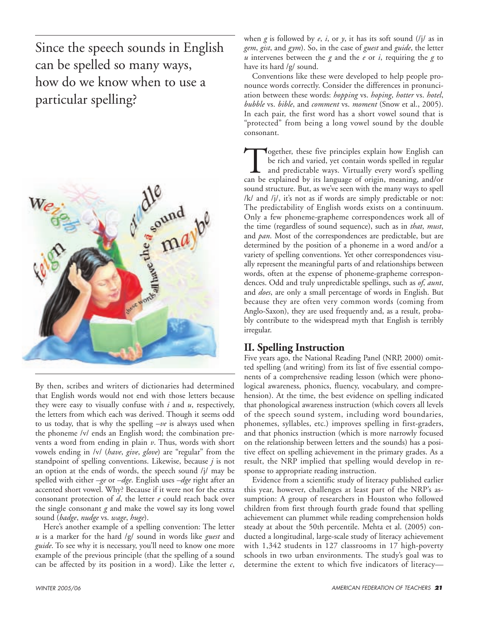Since the speech sounds in English can be spelled so many ways, how do we know when to use a particular spelling?



By then, scribes and writers of dictionaries had determined that English words would not end with those letters because they were easy to visually confuse with *i* and *u*, respectively, the letters from which each was derived. Though it seems odd to us today, that is why the spelling *–ve* is always used when the phoneme /v/ ends an English word; the combination prevents a word from ending in plain *v*. Thus, words with short vowels ending in /v/ (*have*, *give*, *glove*) are "regular" from the standpoint of spelling conventions. Likewise, because *j* is not an option at the ends of words, the speech sound /j/ may be spelled with either *–ge* or *–dge*. English uses *–dge* right after an accented short vowel. Why? Because if it were not for the extra consonant protection of *d*, the letter *e* could reach back over the single consonant *g* and make the vowel say its long vowel sound (*badge*, *nudge* vs. *wage*, *huge*).

Here's another example of a spelling convention: The letter *u* is a marker for the hard /g/ sound in words like *guest* and *guide*. To see why it is necessary, you'll need to know one more example of the previous principle (that the spelling of a sound can be affected by its position in a word). Like the letter *c*,

when  $g$  is followed by  $e$ ,  $i$ , or  $y$ , it has its soft sound  $(i)$  as in *gem*, *gist*, and *gym*). So, in the case of *guest* and *guide*, the letter *u* intervenes between the *g* and the *e* or *i*, requiring the *g* to have its hard /g/ sound.

Conventions like these were developed to help people pronounce words correctly. Consider the differences in pronunciation between these words: *hopping* vs. *hoping*, *hotter* vs. *hotel*, *bubble* vs. *bible*, and *comment* vs. *moment* (Snow et al., 2005). In each pair, the first word has a short vowel sound that is "protected" from being a long vowel sound by the double consonant.

Together, these five principles explain how English can<br>be rich and varied, yet contain words spelled in regular<br>and predictable ways. Virtually every word's spelling<br>can be explained by its language of origin, meaning, an be rich and varied, yet contain words spelled in regular and predictable ways. Virtually every word's spelling can be explained by its language of origin, meaning, and/or sound structure. But, as we've seen with the many ways to spell /k/ and /j/, it's not as if words are simply predictable or not: The predictability of English words exists on a continuum. Only a few phoneme-grapheme correspondences work all of the time (regardless of sound sequence), such as in *that*, *must*, and *pan*. Most of the correspondences are predictable, but are determined by the position of a phoneme in a word and/or a variety of spelling conventions. Yet other correspondences visually represent the meaningful parts of and relationships between words, often at the expense of phoneme-grapheme correspondences. Odd and truly unpredictable spellings, such as *of*, *aunt*, and *does*, are only a small percentage of words in English. But because they are often very common words (coming from Anglo-Saxon), they are used frequently and, as a result, probably contribute to the widespread myth that English is terribly irregular.

### **II. Spelling Instruction**

Five years ago, the National Reading Panel (NRP, 2000) omitted spelling (and writing) from its list of five essential components of a comprehensive reading lesson (which were phonological awareness, phonics, fluency, vocabulary, and comprehension). At the time, the best evidence on spelling indicated that phonological awareness instruction (which covers all levels of the speech sound system, including word boundaries, phonemes, syllables, etc.) improves spelling in first-graders, and that phonics instruction (which is more narrowly focused on the relationship between letters and the sounds) has a positive effect on spelling achievement in the primary grades. As a result, the NRP implied that spelling would develop in response to appropriate reading instruction.

Evidence from a scientific study of literacy published earlier this year, however, challenges at least part of the NRP's assumption: A group of researchers in Houston who followed children from first through fourth grade found that spelling achievement can plummet while reading comprehension holds steady at about the 50th percentile. Mehta et al. (2005) conducted a longitudinal, large-scale study of literacy achievement with 1,342 students in 127 classrooms in 17 high-poverty schools in two urban environments. The study's goal was to determine the extent to which five indicators of literacy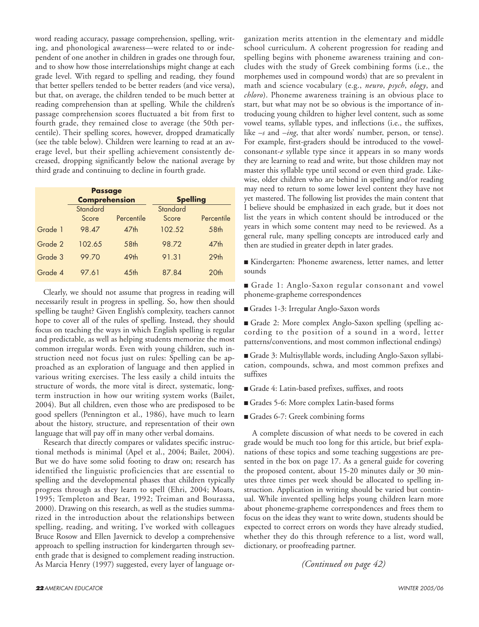word reading accuracy, passage comprehension, spelling, writing, and phonological awareness—were related to or independent of one another in children in grades one through four, and to show how those interrelationships might change at each grade level. With regard to spelling and reading, they found that better spellers tended to be better readers (and vice versa), but that, on average, the children tended to be much better at reading comprehension than at spelling. While the children's passage comprehension scores fluctuated a bit from first to fourth grade, they remained close to average (the 50th percentile). Their spelling scores, however, dropped dramatically (see the table below). Children were learning to read at an average level, but their spelling achievement consistently decreased, dropping significantly below the national average by third grade and continuing to decline in fourth grade.

|         | <b>Passage</b><br><b>Comprehension</b> |                  | <b>Spelling</b> |                  |
|---------|----------------------------------------|------------------|-----------------|------------------|
|         | Standard                               |                  | Standard        |                  |
|         | Score                                  | Percentile       | Score           | Percentile       |
| Grade 1 | 98.47                                  | 47 <sub>th</sub> | 102.52          | 58 <sub>th</sub> |
| Grade 2 | 102.65                                 | 58 <sub>th</sub> | 98.72           | 47 <sub>th</sub> |
| Grade 3 | 99.70                                  | 49th             | 91.31           | 29 <sub>th</sub> |
| Grade 4 | 97.61                                  | 45 <sub>th</sub> | 87.84           | 20th             |

Clearly, we should not assume that progress in reading will necessarily result in progress in spelling. So, how then should spelling be taught? Given English's complexity, teachers cannot hope to cover all of the rules of spelling. Instead, they should focus on teaching the ways in which English spelling is regular and predictable, as well as helping students memorize the most common irregular words. Even with young children, such instruction need not focus just on rules: Spelling can be approached as an exploration of language and then applied in various writing exercises. The less easily a child intuits the structure of words, the more vital is direct, systematic, longterm instruction in how our writing system works (Bailet, 2004). But all children, even those who are predisposed to be good spellers (Pennington et al., 1986), have much to learn about the history, structure, and representation of their own language that will pay off in many other verbal domains.

Research that directly compares or validates specific instructional methods is minimal (Apel et al., 2004; Bailet, 2004). But we do have some solid footing to draw on; research has identified the linguistic proficiencies that are essential to spelling and the developmental phases that children typically progress through as they learn to spell (Ehri, 2004; Moats, 1995; Templeton and Bear, 1992; Treiman and Bourassa, 2000). Drawing on this research, as well as the studies summarized in the introduction about the relationships between spelling, reading, and writing, I've worked with colleagues Bruce Rosow and Ellen Javernick to develop a comprehensive approach to spelling instruction for kindergarten through seventh grade that is designed to complement reading instruction. As Marcia Henry (1997) suggested, every layer of language organization merits attention in the elementary and middle school curriculum. A coherent progression for reading and spelling begins with phoneme awareness training and concludes with the study of Greek combining forms (i.e., the morphemes used in compound words) that are so prevalent in math and science vocabulary (e.g., *neuro*, *psych*, *ology*, and *chloro*). Phoneme awareness training is an obvious place to start, but what may not be so obvious is the importance of introducing young children to higher level content, such as some vowel teams, syllable types, and inflections (i.e., the suffixes, like *–s* and *–ing*, that alter words' number, person, or tense). For example, first-graders should be introduced to the vowelconsonant-*e* syllable type since it appears in so many words they are learning to read and write, but those children may not master this syllable type until second or even third grade. Likewise, older children who are behind in spelling and/or reading may need to return to some lower level content they have not yet mastered. The following list provides the main content that I believe should be emphasized in each grade, but it does not list the years in which content should be introduced or the years in which some content may need to be reviewed. As a general rule, many spelling concepts are introduced early and then are studied in greater depth in later grades.

■ Kindergarten: Phoneme awareness, letter names, and letter sounds

■ Grade 1: Anglo-Saxon regular consonant and vowel phoneme-grapheme correspondences

■ Grades 1-3: Irregular Anglo-Saxon words

■ Grade 2: More complex Anglo-Saxon spelling (spelling according to the position of a sound in a word, letter patterns/conventions, and most common inflectional endings)

■ Grade 3: Multisyllable words, including Anglo-Saxon syllabication, compounds, schwa, and most common prefixes and suffixes

- Grade 4: Latin-based prefixes, suffixes, and roots
- Grades 5-6: More complex Latin-based forms
- Grades 6-7: Greek combining forms

A complete discussion of what needs to be covered in each grade would be much too long for this article, but brief explanations of these topics and some teaching suggestions are presented in the box on page 17. As a general guide for covering the proposed content, about 15-20 minutes daily or 30 minutes three times per week should be allocated to spelling instruction. Application in writing should be varied but continual. While invented spelling helps young children learn more about phoneme-grapheme correspondences and frees them to focus on the ideas they want to write down, students should be expected to correct errors on words they have already studied, whether they do this through reference to a list, word wall, dictionary, or proofreading partner.

*(Continued on page 42)*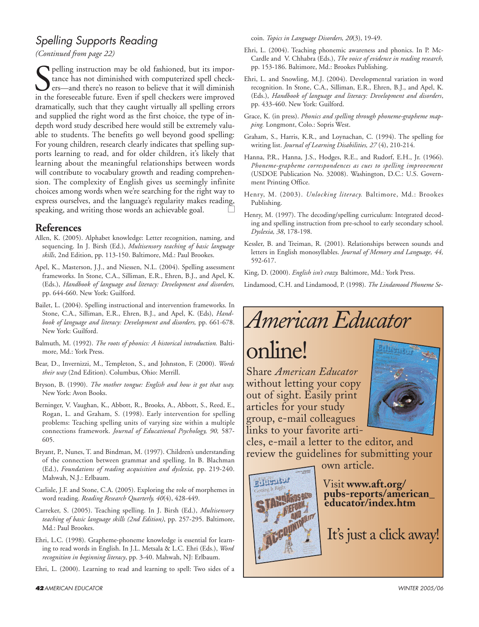# *Spelling Supports Reading*

*(Continued from page 22)*

See pelling instruction may be old fashioned, but its importance has not diminished with computerized spell checkers—and there's no reason to believe that it will diminish in the foreseeable future. Even if spell checkers pelling instruction may be old fashioned, but its importance has not diminished with computerized spell checkers—and there's no reason to believe that it will diminish dramatically, such that they caught virtually all spelling errors and supplied the right word as the first choice, the type of indepth word study described here would still be extremely valuable to students. The benefits go well beyond good spelling: For young children, research clearly indicates that spelling supports learning to read, and for older children, it's likely that learning about the meaningful relationships between words will contribute to vocabulary growth and reading comprehension. The complexity of English gives us seemingly infinite choices among words when we're searching for the right way to express ourselves, and the language's regularity makes reading, speaking, and writing those words an achievable goal.

### **References**

- Allen, K. (2005). Alphabet knowledge: Letter recognition, naming, and sequencing. In J. Birsh (Ed.), *Multisensory teaching of basic language skills*, 2nd Edition, pp. 113-150. Baltimore, Md.: Paul Brookes.
- Apel, K., Masterson, J.J., and Niessen, N.L. (2004). Spelling assessment frameworks. In Stone, C.A., Silliman, E.R., Ehren, B.J., and Apel, K. (Eds.), *Handbook of language and literacy: Development and disorders,* pp. 644-660. New York: Guilford.
- Bailet, L. (2004). Spelling instructional and intervention frameworks. In Stone, C.A., Silliman, E.R., Ehren, B.J., and Apel, K. (Eds), *Handbook of language and literacy: Development and disorders,* pp. 661-678. New York: Guilford.
- Balmuth, M. (1992). *The roots of phonics: A historical introduction.* Baltimore, Md.: York Press.
- Bear, D., Invernizzi, M., Templeton, S., and Johnston, F. (2000). *Words their way* (2nd Edition). Columbus, Ohio: Merrill.
- Bryson, B. (1990). *The mother tongue: English and how it got that way.* New York: Avon Books.
- Berninger, V. Vaughan, K., Abbott, R., Brooks, A., Abbott, S., Reed, E., Rogan, L. and Graham, S. (1998). Early intervention for spelling problems: Teaching spelling units of varying size within a multiple connections framework. *Journal of Educational Psychology, 90,* 587- 605.
- Bryant, P., Nunes, T. and Bindman, M. (1997). Children's understanding of the connection between grammar and spelling. In B. Blachman (Ed.), *Foundations of reading acquisition and dyslexia,* pp. 219-240. Mahwah, N.J.: Erlbaum.
- Carlisle, J.F. and Stone, C.A. (2005). Exploring the role of morphemes in word reading. *Reading Research Quarterly, 40*(4), 428-449.
- Carreker, S. (2005). Teaching spelling. In J. Birsh (Ed.), *Multisensory teaching of basic language skills (2nd Edition)*, pp. 257-295. Baltimore, Md.: Paul Brookes.
- Ehri, L.C. (1998). Grapheme-phoneme knowledge is essential for learning to read words in English. In J.L. Metsala & L.C. Ehri (Eds.), *Word recognition in beginning literacy*, pp. 3-40. Mahwah, NJ: Erlbaum.
- Ehri, L. (2000). Learning to read and learning to spell: Two sides of a

coin. *Topics in Language Disorders, 20*(3), 19-49.

- Ehri, L. (2004). Teaching phonemic awareness and phonics. In P. Mc-Cardle and V. Chhabra (Eds.), *The voice of evidence in reading research,* pp. 153-186. Baltimore, Md.: Brookes Publishing.
- Ehri, L. and Snowling, M.J. (2004). Developmental variation in word recognition. In Stone, C.A., Silliman, E.R., Ehren, B.J., and Apel, K. (Eds.), *Handbook of language and literacy: Development and disorders*, pp. 433-460. New York: Guilford.
- Grace, K. (in press). *Phonics and spelling through phoneme-grapheme mapping.* Longmont, Colo.: Sopris West.
- Graham, S., Harris, K.R., and Loynachan, C. (1994). The spelling for writing list. *Journal of Learning Disabilities, 27* (4), 210-214.
- Hanna, P.R., Hanna, J.S., Hodges, R.E., and Rudorf, E.H., Jr. (1966). *Phoneme-grapheme correspondences as cues to spelling improvement* (USDOE Publication No. 32008). Washington, D.C.: U.S. Government Printing Office.
- Henry, M. (2003). *Unlocking literacy.* Baltimore, Md.: Brookes Publishing.
- Henry, M. (1997). The decoding/spelling curriculum: Integrated decoding and spelling instruction from pre-school to early secondary school. *Dyslexia, 38*, 178-198.
- Kessler, B. and Treiman, R. (2001). Relationships between sounds and letters in English monosyllables. *Journal of Memory and Language, 44,* 592-617.
- King, D. (2000). *English isn't crazy.* Baltimore, Md.: York Press.
- Lindamood, C.H. and Lindamood, P. (1998). *The Lindamood Phoneme Se-*

# *American Educator*

online!

Share *American Educator* without letting your copy out of sight. Easily print articles for your study group, e-mail colleagues links to your favorite arti-



cles, e-mail a letter to the editor, and review the guidelines for submitting your

own article.



Visit **www.aft.org/ pubs-reports/american\_ educator/index.htm**

It's just a click away!